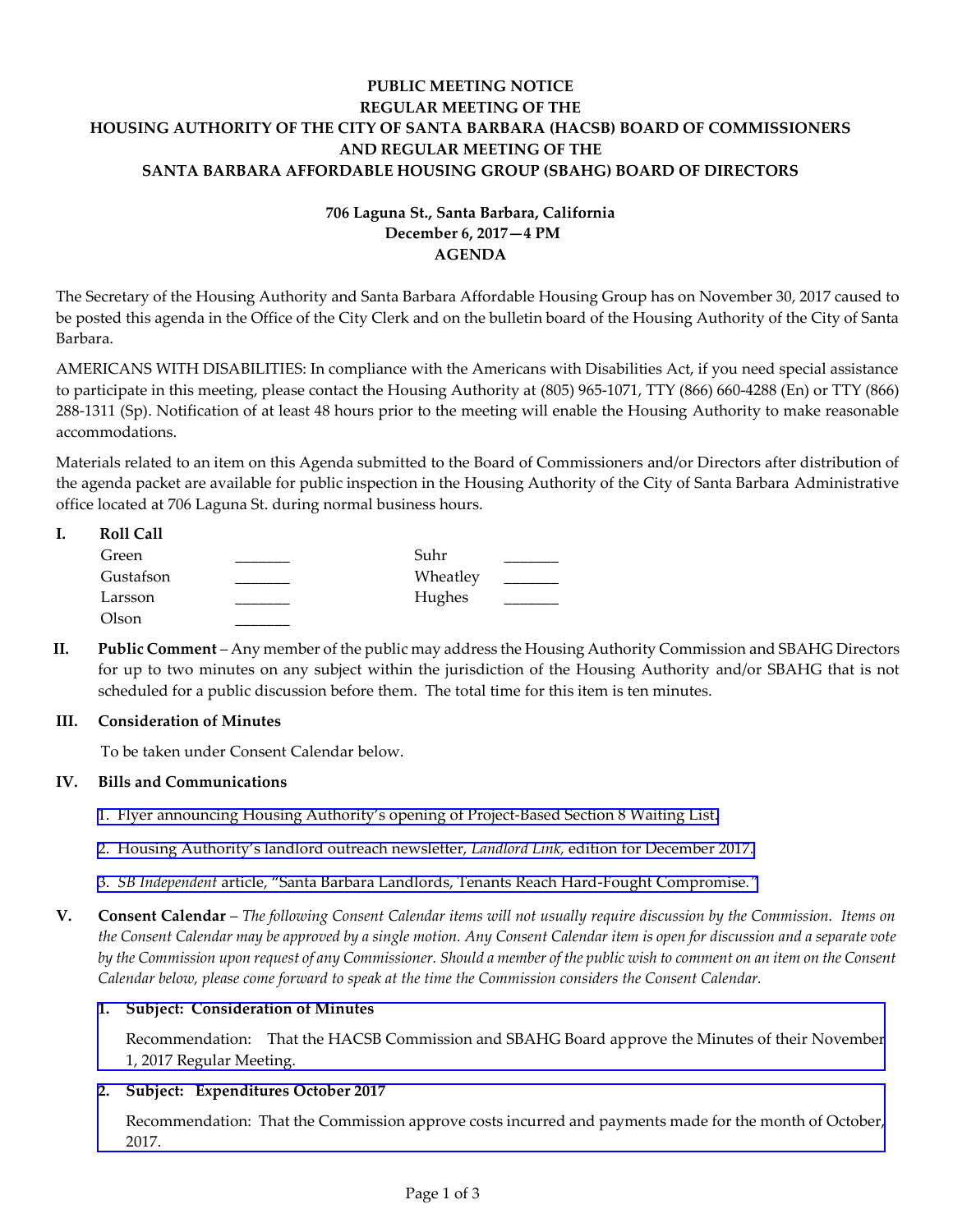# **PUBLIC MEETING NOTICE REGULAR MEETING OF THE HOUSING AUTHORITY OF THE CITY OF SANTA BARBARA (HACSB) BOARD OF COMMISSIONERS AND REGULAR MEETING OF THE SANTA BARBARA AFFORDABLE HOUSING GROUP (SBAHG) BOARD OF DIRECTORS**

# **706 Laguna St., Santa Barbara, California December 6, 2017—4 PM AGENDA**

The Secretary of the Housing Authority and Santa Barbara Affordable Housing Group has on November 30, 2017 caused to be posted this agenda in the Office of the City Clerk and on the bulletin board of the Housing Authority of the City of Santa Barbara.

AMERICANS WITH DISABILITIES: In compliance with the Americans with Disabilities Act, if you need special assistance to participate in this meeting, please contact the Housing Authority at (805) 965-1071, TTY (866) 660-4288 (En) or TTY (866) 288-1311 (Sp). Notification of at least 48 hours prior to the meeting will enable the Housing Authority to make reasonable accommodations.

Materials related to an item on this Agenda submitted to the Board of Commissioners and/or Directors after distribution of the agenda packet are available for public inspection in the Housing Authority of the City of Santa Barbara Administrative office located at 706 Laguna St. during normal business hours.

| <b>Roll Call</b> |          |  |
|------------------|----------|--|
| Green            | Suhr     |  |
| Gustafson        | Wheatley |  |
| Larsson          | Hughes   |  |
| Olson            |          |  |

**II. Public Comment** – Any member of the public may address the Housing Authority Commission and SBAHG Directors for up to two minutes on any subject within the jurisdiction of the Housing Authority and/or SBAHG that is not scheduled for a public discussion before them. The total time for this item is ten minutes.

# **III. Consideration of Minutes**

To be taken under Consent Calendar below.

# **IV. Bills and Communications**

- 1. Flyer announcing Housing Authority's [opening of Project-Based Section 8 Waiting List.](http://hacsb.org/download/meetings_2017/items/12_december/item_IV_I_2017_12_06.pdf)
- 2. [Housing Authority's landlord outreach newsletter,](http://hacsb.org/download/meetings_2017/items/12_december/item_IV_II_2017_12_06.pdf) *Landlord Link,* edition for December 2017.
- 3. *SB Independent* article, "[Santa Barbara Landlords, Tenants Reach Hard-Fought](http://hacsb.org/download/meetings_2017/items/12_december/item_IV_III_2017_12_06.pdf) Compromise*."*
- **V. Consent Calendar** *The following Consent Calendar items will not usually require discussion by the Commission. Items on the Consent Calendar may be approved by a single motion. Any Consent Calendar item is open for discussion and a separate vote by the Commission upon request of any Commissioner. Should a member of the public wish to comment on an item on the Consent Calendar below, please come forward to speak at the time the Commission considers the Consent Calendar.*

# **1. Subject: Consideration of Minutes**

[Recommendation: That the HACSB Commission and SBAHG Board approve the Minutes of their November](http://hacsb.org/download/meetings_2017/items/12_december/item_V_I_2017_12_06.pdf)  1, 2017 Regular Meeting.

# **2. Subject: Expenditures October 2017**

[Recommendation: That the Commission approve costs incurred and payments made for the month of October,](http://hacsb.org/download/meetings_2017/items/12_december/item_V_II_2017_12_06.pdf)  2017.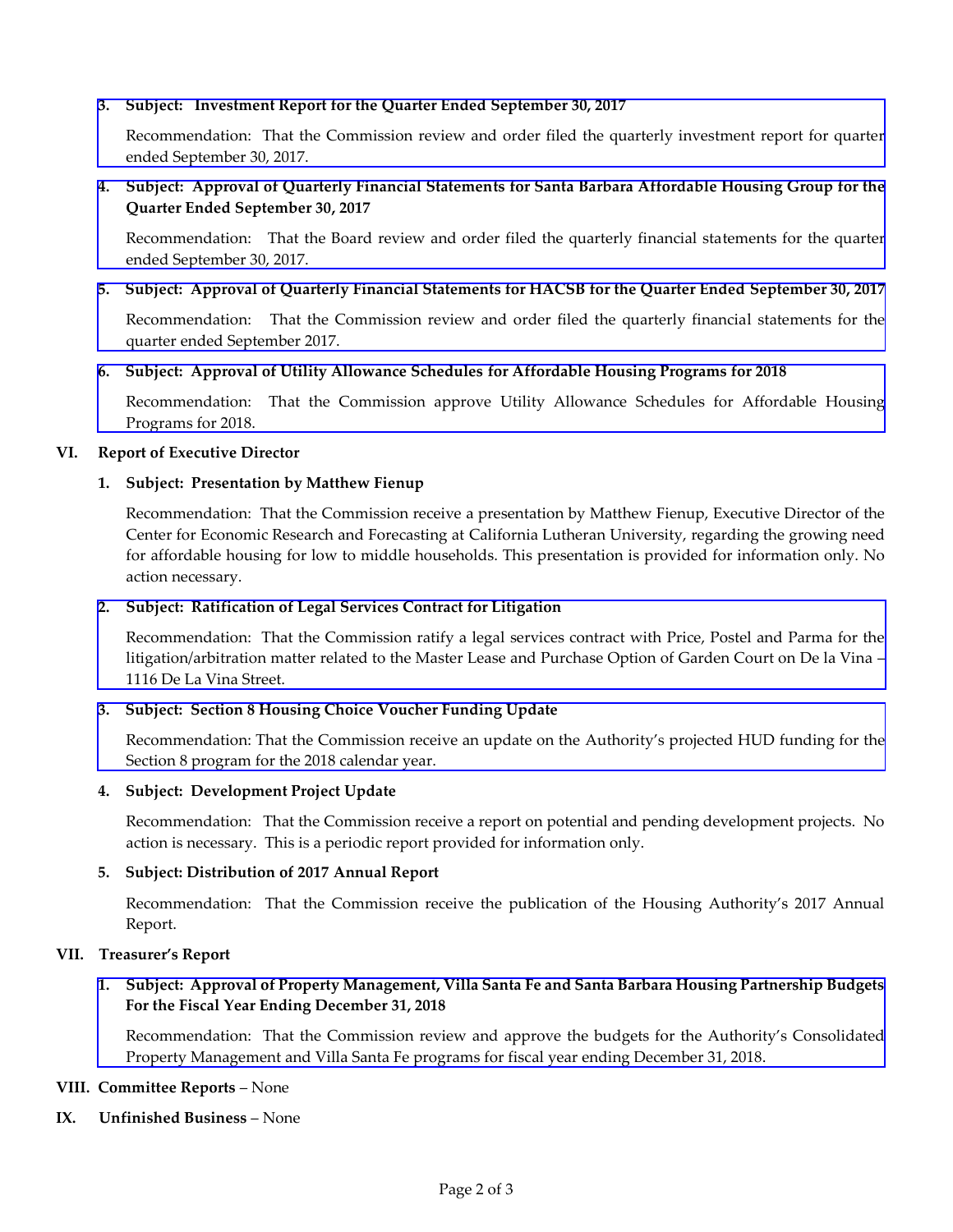### **3. Subject: Investment Report for the Quarter Ended September 30, 2017**

[Recommendation: That the Commission review and order filed the quarterly investment report for quarter](http://hacsb.org/download/meetings_2017/items/12_december/item_V_III_2017_12_06.pdf)  ended September 30, 2017.

# **4. [Subject: Approval of Quarterly Financial Statements for Santa Barbara Affordable Housing Group for the](http://hacsb.org/download/meetings_2017/items/12_december/item_V_IV_2017_12_06.pdf)  Quarter Ended September 30, 2017**

Recommendation: That the Board review and order filed the quarterly financial statements for the quarter ended September 30, 2017.

### **[5. Subject: Approval of Quarterly Financial Statements for HACSB for the Quarter Ended September 30, 2017](http://hacsb.org/download/meetings_2017/items/12_december/item_V_V_2017_12_06.pdf)**

Recommendation: That the Commission review and order filed the quarterly financial statements for the quarter ended September 2017.

### **6. Subject: Approval of Utility Allowance Schedules for Affordable Housing Programs for 2018**

[Recommendation: That the Commission approve Utility Allowance Schedules](http://hacsb.org/download/meetings_2017/items/12_december/item_V_VI_2017_12_06.pdf) for Affordable Housing Programs for 2018.

### **VI. Report of Executive Director**

# **1. Subject: Presentation by Matthew Fienup**

Recommendation: That the Commission receive a presentation by Matthew Fienup, Executive Director of the Center for Economic Research and Forecasting at California Lutheran University, regarding the growing need for affordable housing for low to middle households. This presentation is provided for information only. No action necessary.

### **2. Subject: Ratification of Legal Services Contract for Litigation**

[Recommendation: That the Commission ratify a legal services contract with Price, Postel and Parma for the](http://hacsb.org/download/meetings_2017/items/12_december/item_VI_II_2017_12_06.pdf)  litigation/arbitration matter related to the Master Lease and Purchase Option of Garden Court on De la Vina – 1116 De La Vina Street.

#### **[3. Subject: Section 8 Housing Choice Voucher Funding Update](http://hacsb.org/download/meetings_2017/items/12_december/item_VI_III_2017_12_06.pdf)**

Recommendation: That the Commission receive an update on the Authority's projected HUD funding for the Section 8 program for the 2018 calendar year.

#### **4. Subject: Development Project Update**

Recommendation: That the Commission receive a report on potential and pending development projects. No action is necessary. This is a periodic report provided for information only.

# **5. Subject: Distribution of 2017 Annual Report**

Recommendation: That the Commission receive the publication of the Housing Authority's 2017 Annual Report.

#### **VII. Treasurer's Report**

# **[1. Subject: Approval of Property Management, Villa Santa Fe and Santa Barbara Housing Partnership Budgets](http://hacsb.org/download/meetings_2017/items/12_december/item_VII_I_2017_12_06.pdf)  For the Fiscal Year Ending December 31, 2018**

Recommendation: That the Commission review and approve the budgets for the Authority's Consolidated Property Management and Villa Santa Fe programs for fiscal year ending December 31, 2018.

#### **VIII. Committee Reports** – None

**IX. Unfinished Business** – None